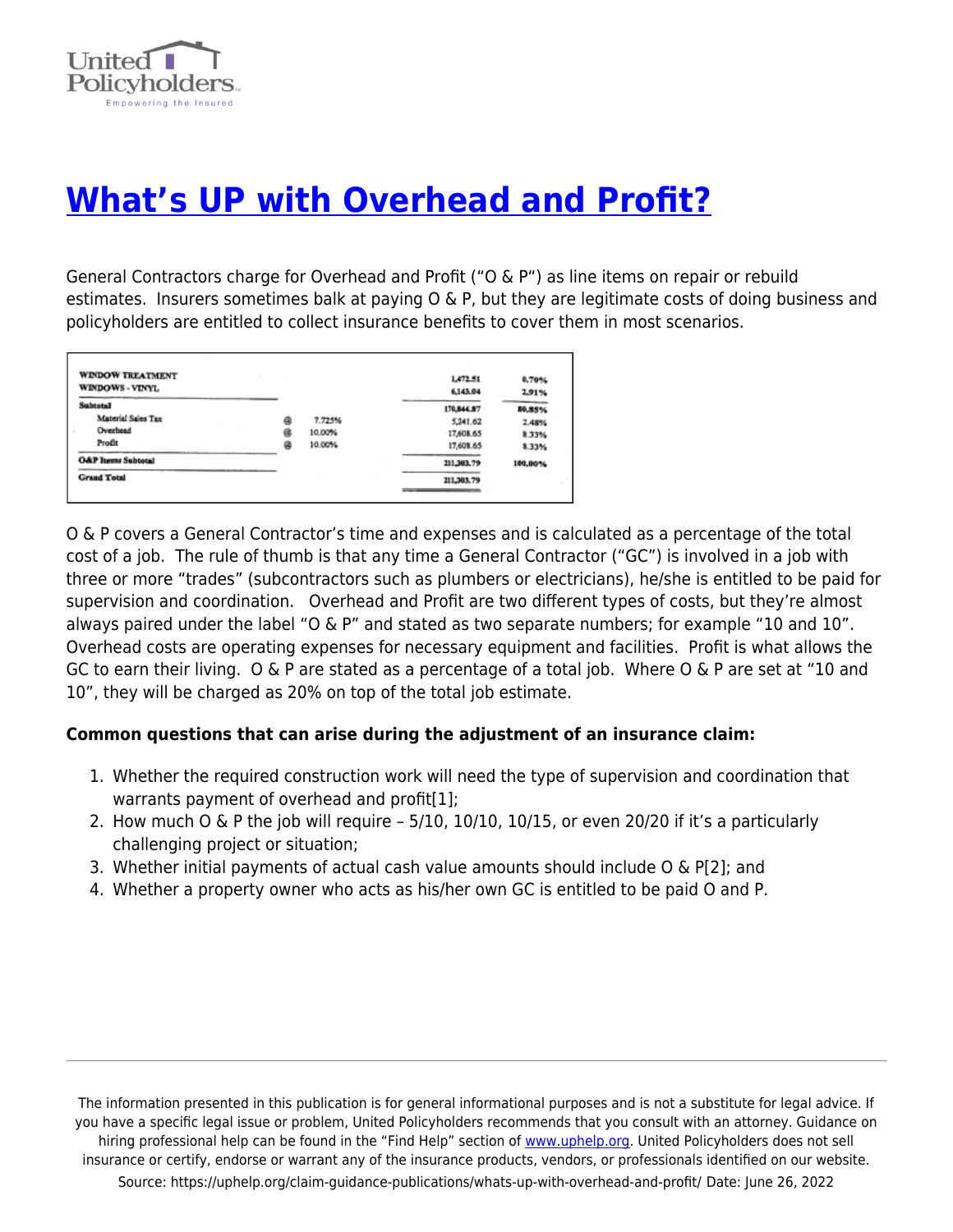

# **[What's UP with Overhead and Profit?](https://uphelp.org/claim-guidance-publications/whats-up-with-overhead-and-profit/)**

General Contractors charge for Overhead and Profit ("O & P") as line items on repair or rebuild estimates. Insurers sometimes balk at paying O & P, but they are legitimate costs of doing business and policyholders are entitled to collect insurance benefits to cover them in most scenarios.

| <b>WINDOW TREATMENT</b><br>WINDOWS - VINYL |   |        | 1,472.51<br>6,143.04 | 0.70%<br>2.91% |
|--------------------------------------------|---|--------|----------------------|----------------|
| <b>Subtotal</b>                            |   |        | 170,844.87           | 80,85%         |
| Material Sales Tax                         | ۵ | 7.725% | 5,241.62             | 2.48%          |
| Overhead                                   | 偏 | 10.00% | 17,608.65            | 8.33%          |
| Profit                                     | 菌 | 10.00% | 17,608.65            | 8.33%          |
| <b>O&amp;P Items Subtotal</b>              |   |        | 211,303,79           | 100,00%        |
| <b>Grand Total</b>                         |   |        | 211,303.79           |                |

O & P covers a General Contractor's time and expenses and is calculated as a percentage of the total cost of a job. The rule of thumb is that any time a General Contractor ("GC") is involved in a job with three or more "trades" (subcontractors such as plumbers or electricians), he/she is entitled to be paid for supervision and coordination. Overhead and Profit are two different types of costs, but they're almost always paired under the label "O & P" and stated as two separate numbers; for example "10 and 10". Overhead costs are operating expenses for necessary equipment and facilities. Profit is what allows the GC to earn their living. O & P are stated as a percentage of a total job. Where O & P are set at "10 and 10", they will be charged as 20% on top of the total job estimate.

## **Common questions that can arise during the adjustment of an insurance claim:**

- 1. Whether the required construction work will need the type of supervision and coordination that warrants payment of overhead and profit[1];
- 2. How much O & P the job will require 5/10, 10/10, 10/15, or even 20/20 if it's a particularly challenging project or situation;
- 3. Whether initial payments of actual cash value amounts should include  $O \& PI2$ ; and
- 4. Whether a property owner who acts as his/her own GC is entitled to be paid O and P.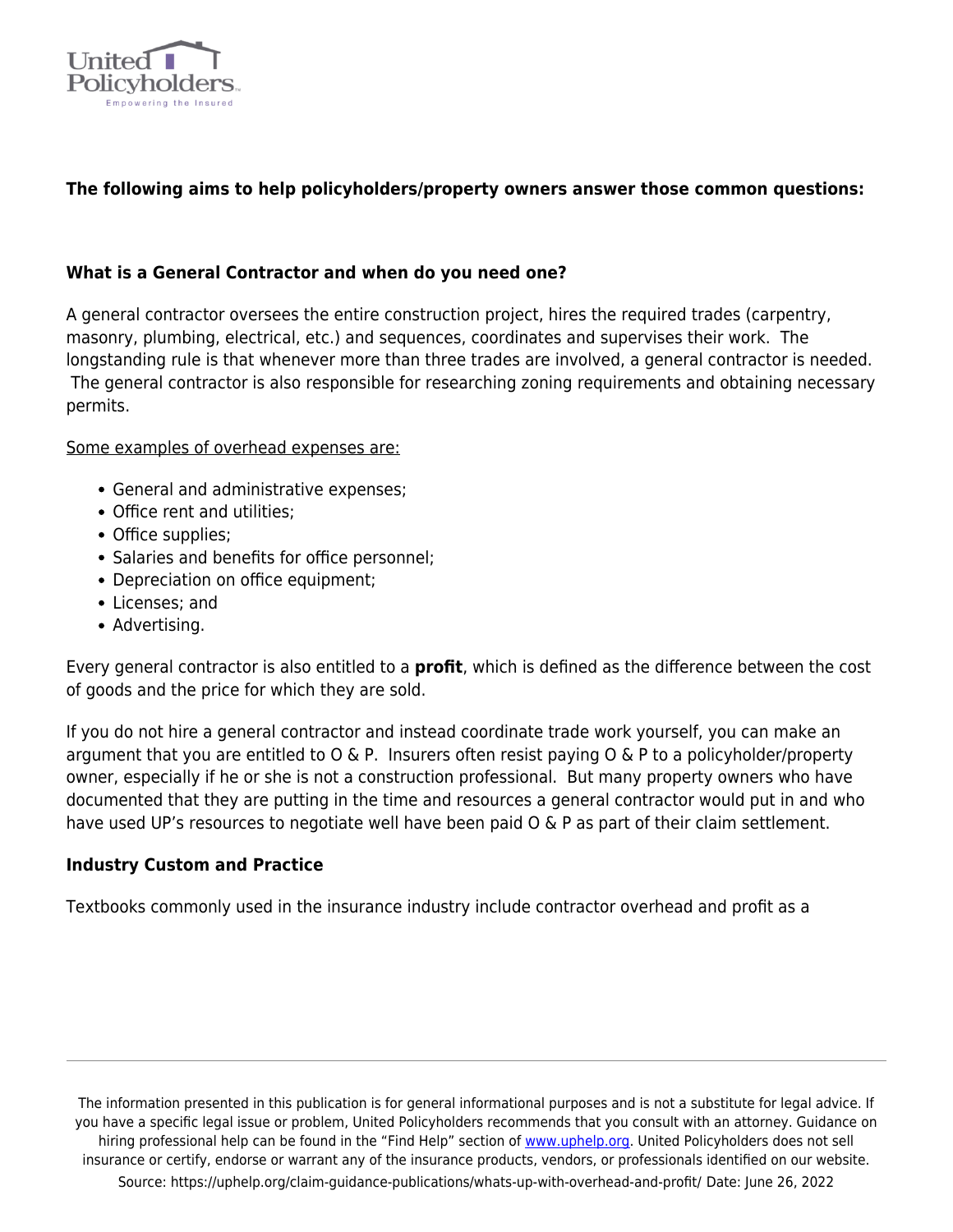

# **The following aims to help policyholders/property owners answer those common questions:**

#### **What is a General Contractor and when do you need one?**

A general contractor oversees the entire construction project, hires the required trades (carpentry, masonry, plumbing, electrical, etc.) and sequences, coordinates and supervises their work. The longstanding rule is that whenever more than three trades are involved, a general contractor is needed. The general contractor is also responsible for researching zoning requirements and obtaining necessary permits.

#### Some examples of overhead expenses are:

- General and administrative expenses;
- Office rent and utilities;
- Office supplies;
- Salaries and benefits for office personnel;
- Depreciation on office equipment;
- Licenses; and
- Advertising.

Every general contractor is also entitled to a **profit**, which is defined as the difference between the cost of goods and the price for which they are sold.

If you do not hire a general contractor and instead coordinate trade work yourself, you can make an argument that you are entitled to  $0 \& P$ . Insurers often resist paying  $0 \& P$  to a policyholder/property owner, especially if he or she is not a construction professional. But many property owners who have documented that they are putting in the time and resources a general contractor would put in and who have used UP's resources to negotiate well have been paid O & P as part of their claim settlement.

#### **Industry Custom and Practice**

Textbooks commonly used in the insurance industry include contractor overhead and profit as a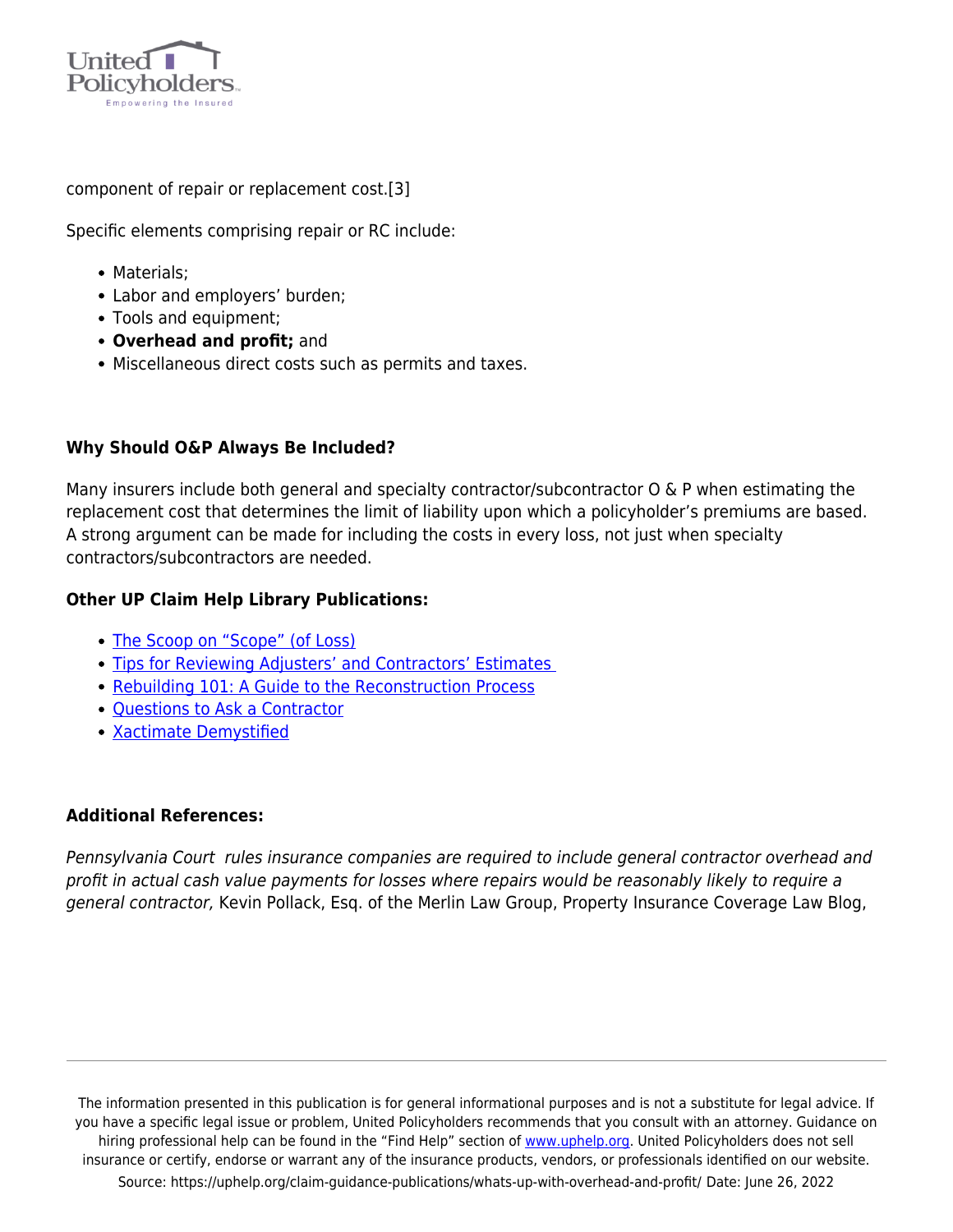

component of repair or replacement cost.[3]

Specific elements comprising repair or RC include:

- Materials:
- Labor and employers' burden;
- Tools and equipment;
- **Overhead and profit;** and
- Miscellaneous direct costs such as permits and taxes.

## **Why Should O&P Always Be Included?**

Many insurers include both general and specialty contractor/subcontractor O & P when estimating the replacement cost that determines the limit of liability upon which a policyholder's premiums are based. A strong argument can be made for including the costs in every loss, not just when specialty contractors/subcontractors are needed.

## **Other UP Claim Help Library Publications:**

- [The Scoop on "Scope" \(of Loss\)](https://uphelp.org/claim-guidance-publications/the-scoop-on-scope-of-loss/)
- [Tips for Reviewing Adjusters' and Contractors' Estimates](https://uphelp.org/claim-guidance-publications/guidelines-for-reviewing-adjusters-and-contractors-estimates/)
- [Rebuilding 101: A Guide to the Reconstruction Process](https://uphelp.org/wp-content/uploads/2020/10/rebuilding_101_guide_to_reconstruction_bumgardner_3_23_10.pdf)
- [Questions to Ask a Contractor](https://uphelp.org/claim-guidance-publications/questions-to-ask-a-repair-rebuilding-contractor/)
- **[Xactimate Demystified](https://uphelp.org/claim-guidance-publications/xactimate-demystified/)**

## **Additional References:**

Pennsylvania Court rules insurance companies are required to include general contractor overhead and profit in actual cash value payments for losses where repairs would be reasonably likely to require a general contractor, Kevin Pollack, Esq. of the Merlin Law Group, Property Insurance Coverage Law Blog,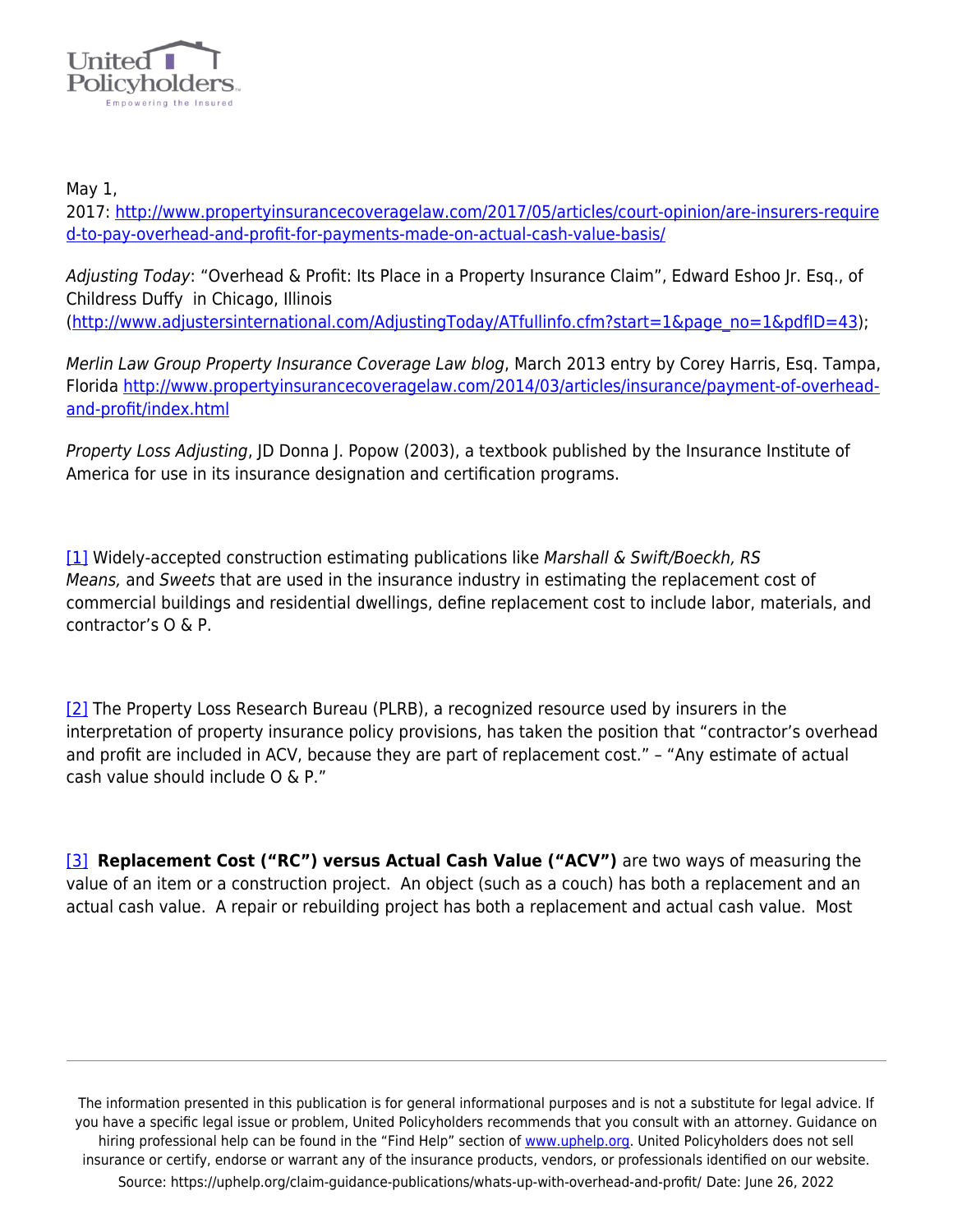

May 1,

2017: [http://www.propertyinsurancecoveragelaw.com/2017/05/articles/court-opinion/are-insurers-require](http://www.propertyinsurancecoveragelaw.com/2017/05/articles/court-opinion/are-insurers-required-to-pay-overhead-and-profit-for-payments-made-on-actual-cash-value-basis/) [d-to-pay-overhead-and-profit-for-payments-made-on-actual-cash-value-basis/](http://www.propertyinsurancecoveragelaw.com/2017/05/articles/court-opinion/are-insurers-required-to-pay-overhead-and-profit-for-payments-made-on-actual-cash-value-basis/)

Adjusting Today: "Overhead & Profit: Its Place in a Property Insurance Claim", Edward Eshoo Jr. Esq., of Childress Duffy in Chicago, Illinois [\(http://www.adjustersinternational.com/AdjustingToday/ATfullinfo.cfm?start=1&page\\_no=1&pdfID=43](http://www.adjustersinternational.com/AdjustingToday/ATfullinfo.cfm?start=1&page_no=1&pdfID=43));

Merlin Law Group Property Insurance Coverage Law blog, March 2013 entry by Corey Harris, Esq. Tampa, Florida [http://www.propertyinsurancecoveragelaw.com/2014/03/articles/insurance/payment-of-overhead](http://www.propertyinsurancecoveragelaw.com/2014/03/articles/insurance/payment-of-overhead-and-profit/index.html)[and-profit/index.html](http://www.propertyinsurancecoveragelaw.com/2014/03/articles/insurance/payment-of-overhead-and-profit/index.html)

Property Loss Adjusting, JD Donna J. Popow (2003), a textbook published by the Insurance Institute of America for use in its insurance designation and certification programs.

[\[1\]](https://www.uphelp.org/pubs/what%E2%80%99s-overhead-and-profit#_ftnref1) Widely-accepted construction estimating publications like Marshall & Swift/Boeckh, RS Means, and Sweets that are used in the insurance industry in estimating the replacement cost of commercial buildings and residential dwellings, define replacement cost to include labor, materials, and contractor's O & P.

[\[2\]](https://www.uphelp.org/pubs/what%E2%80%99s-overhead-and-profit#_ftnref2) The Property Loss Research Bureau (PLRB), a recognized resource used by insurers in the interpretation of property insurance policy provisions, has taken the position that "contractor's overhead and profit are included in ACV, because they are part of replacement cost." – "Any estimate of actual cash value should include O & P."

[\[3\]](https://www.uphelp.org/pubs/what%E2%80%99s-overhead-and-profit#_ftnref3) **Replacement Cost ("RC") versus Actual Cash Value ("ACV")** are two ways of measuring the value of an item or a construction project. An object (such as a couch) has both a replacement and an actual cash value. A repair or rebuilding project has both a replacement and actual cash value. Most